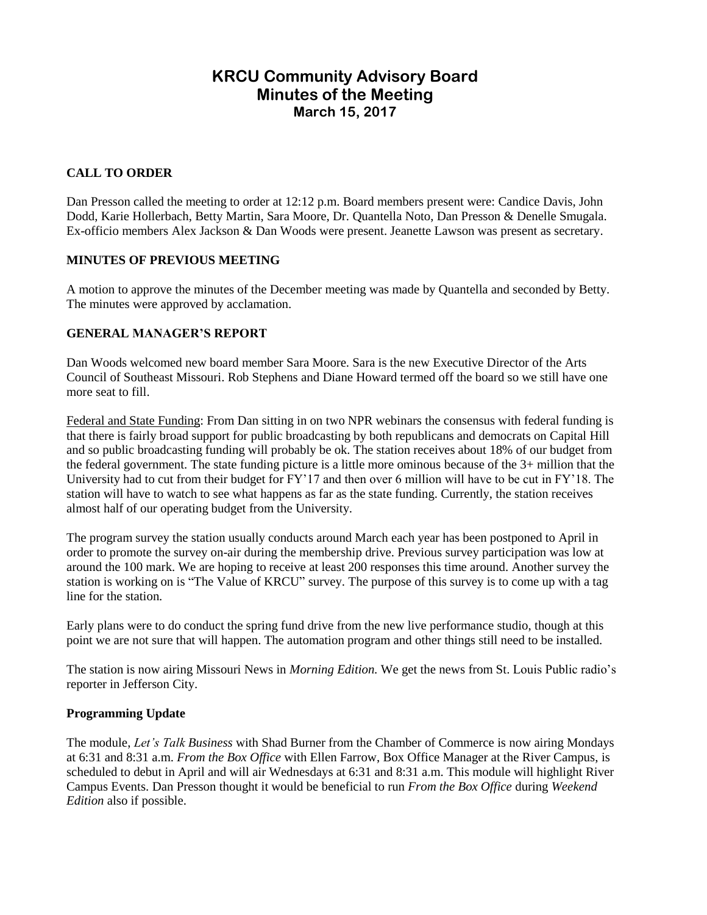# **KRCU Community Advisory Board Minutes of the Meeting March 15, 2017**

# **CALL TO ORDER**

Dan Presson called the meeting to order at 12:12 p.m. Board members present were: Candice Davis, John Dodd, Karie Hollerbach, Betty Martin, Sara Moore, Dr. Quantella Noto, Dan Presson & Denelle Smugala. Ex-officio members Alex Jackson & Dan Woods were present. Jeanette Lawson was present as secretary.

### **MINUTES OF PREVIOUS MEETING**

A motion to approve the minutes of the December meeting was made by Quantella and seconded by Betty. The minutes were approved by acclamation.

### **GENERAL MANAGER'S REPORT**

Dan Woods welcomed new board member Sara Moore. Sara is the new Executive Director of the Arts Council of Southeast Missouri. Rob Stephens and Diane Howard termed off the board so we still have one more seat to fill.

Federal and State Funding: From Dan sitting in on two NPR webinars the consensus with federal funding is that there is fairly broad support for public broadcasting by both republicans and democrats on Capital Hill and so public broadcasting funding will probably be ok. The station receives about 18% of our budget from the federal government. The state funding picture is a little more ominous because of the 3+ million that the University had to cut from their budget for FY'17 and then over 6 million will have to be cut in FY'18. The station will have to watch to see what happens as far as the state funding. Currently, the station receives almost half of our operating budget from the University.

The program survey the station usually conducts around March each year has been postponed to April in order to promote the survey on-air during the membership drive. Previous survey participation was low at around the 100 mark. We are hoping to receive at least 200 responses this time around. Another survey the station is working on is "The Value of KRCU" survey. The purpose of this survey is to come up with a tag line for the station.

Early plans were to do conduct the spring fund drive from the new live performance studio, though at this point we are not sure that will happen. The automation program and other things still need to be installed.

The station is now airing Missouri News in *Morning Edition.* We get the news from St. Louis Public radio's reporter in Jefferson City.

#### **Programming Update**

The module, *Let's Talk Business* with Shad Burner from the Chamber of Commerce is now airing Mondays at 6:31 and 8:31 a.m. *From the Box Office* with Ellen Farrow, Box Office Manager at the River Campus, is scheduled to debut in April and will air Wednesdays at 6:31 and 8:31 a.m. This module will highlight River Campus Events. Dan Presson thought it would be beneficial to run *From the Box Office* during *Weekend Edition* also if possible.